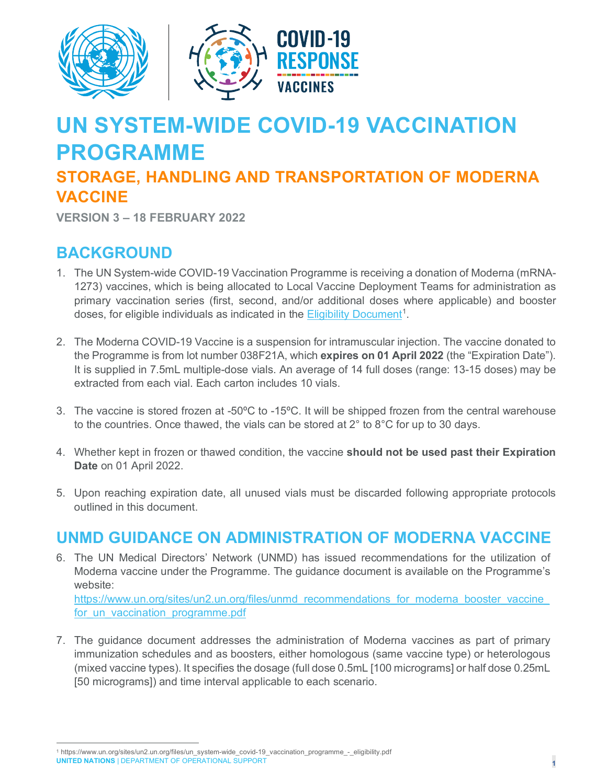

## **UN SYSTEM-WIDE COVID-19 VACCINATION PROGRAMME**

## **STORAGE, HANDLING AND TRANSPORTATION OF MODERNA VACCINE**

**VERSION 3 – 18 FEBRUARY 2022**

## **BACKGROUND**

- 1. The UN System-wide COVID-19 Vaccination Programme is receiving a donation of Moderna (mRNA-1273) vaccines, which is being allocated to Local Vaccine Deployment Teams for administration as primary vaccination series (first, second, and/or additional doses where applicable) and booster doses, for eligible individuals as indicated in the **Eligibility Document<sup>[1](#page-0-0)</sup>.**
- 2. The Moderna COVID-19 Vaccine is a suspension for intramuscular injection. The vaccine donated to the Programme is from lot number 038F21A, which **expires on 01 April 2022** (the "Expiration Date"). It is supplied in 7.5mL multiple-dose vials. An average of 14 full doses (range: 13-15 doses) may be extracted from each vial. Each carton includes 10 vials.
- 3. The vaccine is stored frozen at -50ºC to -15ºC. It will be shipped frozen from the central warehouse to the countries. Once thawed, the vials can be stored at 2° to 8°C for up to 30 days.
- 4. Whether kept in frozen or thawed condition, the vaccine **should not be used past their Expiration Date** on 01 April 2022.
- 5. Upon reaching expiration date, all unused vials must be discarded following appropriate protocols outlined in this document.

## **UNMD GUIDANCE ON ADMINISTRATION OF MODERNA VACCINE**

6. The UN Medical Directors' Network (UNMD) has issued recommendations for the utilization of Moderna vaccine under the Programme. The guidance document is available on the Programme's website:

https://www.un.org/sites/un2.un.org/files/unmd\_recommendations\_for\_moderna\_booster\_vaccine for un vaccination programme.pdf

7. The guidance document addresses the administration of Moderna vaccines as part of primary immunization schedules and as boosters, either homologous (same vaccine type) or heterologous (mixed vaccine types). It specifies the dosage (full dose 0.5mL [100 micrograms] or half dose 0.25mL [50 micrograms]) and time interval applicable to each scenario.

<span id="page-0-0"></span>**UNITED NATIONS** | DEPARTMENT OF OPERATIONAL SUPPORT **<sup>1</sup>** <sup>1</sup> https://www.un.org/sites/un2.un.org/files/un\_system-wide\_covid-19\_vaccination\_programme\_-\_eligibility.pdf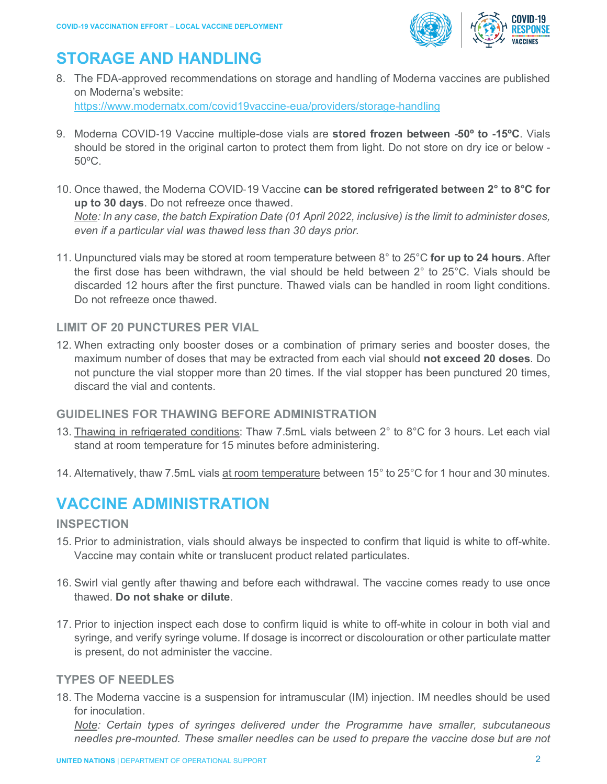

## **STORAGE AND HANDLING**

8. The FDA-approved recommendations on storage and handling of Moderna vaccines are published on Moderna's website: <https://www.modernatx.com/covid19vaccine-eua/providers/storage-handling>

9. Moderna COVID‑19 Vaccine multiple-dose vials are **stored frozen between -50º to -15ºC**. Vials should be stored in the original carton to protect them from light. Do not store on dry ice or below -

- <span id="page-1-0"></span>10. Once thawed, the Moderna COVID‑19 Vaccine **can be stored refrigerated between 2° to 8°C for up to 30 days**. Do not refreeze once thawed. *Note: In any case, the batch Expiration Date (01 April 2022, inclusive) is the limit to administer doses, even if a particular vial was thawed less than 30 days prior.*
- 11. Unpunctured vials may be stored at room temperature between 8° to 25°C **for up to 24 hours**. After the first dose has been withdrawn, the vial should be held between 2° to 25°C. Vials should be discarded 12 hours after the first puncture. Thawed vials can be handled in room light conditions. Do not refreeze once thawed.

#### **LIMIT OF 20 PUNCTURES PER VIAL**

12. When extracting only booster doses or a combination of primary series and booster doses, the maximum number of doses that may be extracted from each vial should **not exceed 20 doses**. Do not puncture the vial stopper more than 20 times. If the vial stopper has been punctured 20 times, discard the vial and contents.

#### **GUIDELINES FOR THAWING BEFORE ADMINISTRATION**

- 13. Thawing in refrigerated conditions: Thaw 7.5mL vials between 2° to 8°C for 3 hours. Let each vial stand at room temperature for 15 minutes before administering.
- 14. Alternatively, thaw 7.5mL vials at room temperature between 15° to 25°C for 1 hour and 30 minutes.

## **VACCINE ADMINISTRATION**

#### **INSPECTION**

50ºC.

- 15. Prior to administration, vials should always be inspected to confirm that liquid is white to off-white. Vaccine may contain white or translucent product related particulates.
- 16. Swirl vial gently after thawing and before each withdrawal. The vaccine comes ready to use once thawed. **Do not shake or dilute**.
- 17. Prior to injection inspect each dose to confirm liquid is white to off-white in colour in both vial and syringe, and verify syringe volume. If dosage is incorrect or discolouration or other particulate matter is present, do not administer the vaccine.

#### **TYPES OF NEEDLES**

18. The Moderna vaccine is a suspension for intramuscular (IM) injection. IM needles should be used for inoculation.

*Note: Certain types of syringes delivered under the Programme have smaller, subcutaneous needles pre-mounted. These smaller needles can be used to prepare the vaccine dose but are not*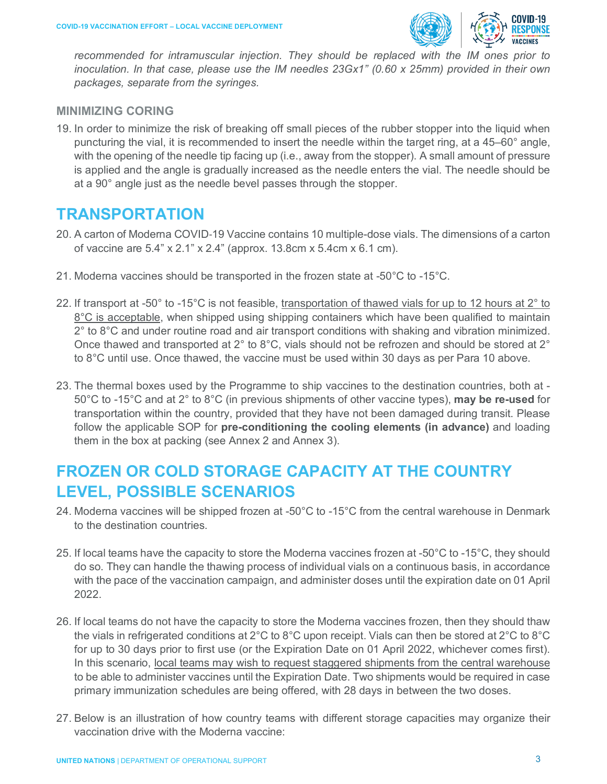

*recommended for intramuscular injection. They should be replaced with the IM ones prior to inoculation. In that case, please use the IM needles 23Gx1" (0.60 x 25mm) provided in their own packages, separate from the syringes.*

#### **MINIMIZING CORING**

19. In order to minimize the risk of breaking off small pieces of the rubber stopper into the liquid when puncturing the vial, it is recommended to insert the needle within the target ring, at a 45–60° angle, with the opening of the needle tip facing up (i.e., away from the stopper). A small amount of pressure is applied and the angle is gradually increased as the needle enters the vial. The needle should be at a 90° angle just as the needle bevel passes through the stopper.

#### **TRANSPORTATION**

- 20. A carton of Moderna COVID‑19 Vaccine contains 10 multiple-dose vials. The dimensions of a carton of vaccine are 5.4" x 2.1" x 2.4" (approx. 13.8cm x 5.4cm x 6.1 cm).
- 21. Moderna vaccines should be transported in the frozen state at -50 $\degree$ C to -15 $\degree$ C.
- 22. If transport at -50° to -15°C is not feasible, transportation of thawed vials for up to 12 hours at 2° to 8°C is acceptable, when shipped using shipping containers which have been qualified to maintain 2° to 8°C and under routine road and air transport conditions with shaking and vibration minimized. Once thawed and transported at 2° to 8°C, vials should not be refrozen and should be stored at 2° to 8°C until use. Once thawed, the vaccine must be used within 30 days as per Para [10](#page-1-0) above.
- 23. The thermal boxes used by the Programme to ship vaccines to the destination countries, both at 50°C to -15°C and at 2° to 8°C (in previous shipments of other vaccine types), **may be re-used** for transportation within the country, provided that they have not been damaged during transit. Please follow the applicable SOP for **pre-conditioning the cooling elements (in advance)** and loading them in the box at packing (see Annex 2 and Annex 3).

## **FROZEN OR COLD STORAGE CAPACITY AT THE COUNTRY LEVEL, POSSIBLE SCENARIOS**

- 24. Moderna vaccines will be shipped frozen at -50°C to -15°C from the central warehouse in Denmark to the destination countries.
- 25. If local teams have the capacity to store the Moderna vaccines frozen at -50°C to -15°C, they should do so. They can handle the thawing process of individual vials on a continuous basis, in accordance with the pace of the vaccination campaign, and administer doses until the expiration date on 01 April 2022.
- 26. If local teams do not have the capacity to store the Moderna vaccines frozen, then they should thaw the vials in refrigerated conditions at 2°C to 8°C upon receipt. Vials can then be stored at 2°C to 8°C for up to 30 days prior to first use (or the Expiration Date on 01 April 2022, whichever comes first). In this scenario, local teams may wish to request staggered shipments from the central warehouse to be able to administer vaccines until the Expiration Date. Two shipments would be required in case primary immunization schedules are being offered, with 28 days in between the two doses.
- 27. Below is an illustration of how country teams with different storage capacities may organize their vaccination drive with the Moderna vaccine: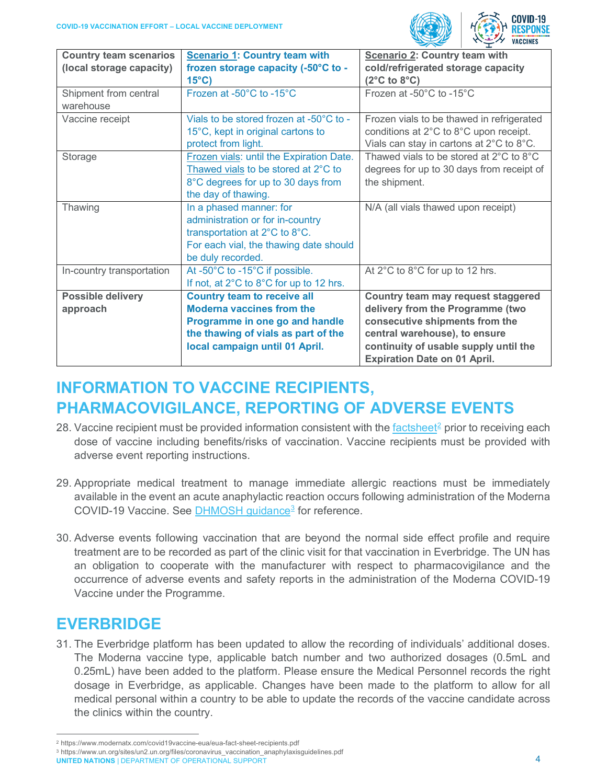

| <b>Country team scenarios</b> | <b>Scenario 1: Country team with</b>     | <b>Scenario 2: Country team with</b>      |
|-------------------------------|------------------------------------------|-------------------------------------------|
| (local storage capacity)      | frozen storage capacity (-50°C to -      | cold/refrigerated storage capacity        |
|                               | $15^{\circ}$ C)                          | $(2^{\circ}C \text{ to } 8^{\circ}C)$     |
| Shipment from central         | Frozen at -50°C to -15°C                 | Frozen at -50°C to -15°C                  |
| warehouse                     |                                          |                                           |
| Vaccine receipt               | Vials to be stored frozen at -50°C to -  | Frozen vials to be thawed in refrigerated |
|                               | 15°C, kept in original cartons to        | conditions at 2°C to 8°C upon receipt.    |
|                               | protect from light.                      | Vials can stay in cartons at 2°C to 8°C.  |
| Storage                       | Frozen vials: until the Expiration Date. | Thawed vials to be stored at 2°C to 8°C   |
|                               | Thawed vials to be stored at 2°C to      | degrees for up to 30 days from receipt of |
|                               | 8°C degrees for up to 30 days from       | the shipment.                             |
|                               | the day of thawing.                      |                                           |
| Thawing                       | In a phased manner: for                  | N/A (all vials thawed upon receipt)       |
|                               | administration or for in-country         |                                           |
|                               | transportation at 2°C to 8°C.            |                                           |
|                               | For each vial, the thawing date should   |                                           |
|                               | be duly recorded.                        |                                           |
| In-country transportation     | At -50°C to -15°C if possible.           | At 2°C to 8°C for up to 12 hrs.           |
|                               | If not, at 2°C to 8°C for up to 12 hrs.  |                                           |
| <b>Possible delivery</b>      | <b>Country team to receive all</b>       | Country team may request staggered        |
| approach                      | <b>Moderna vaccines from the</b>         | delivery from the Programme (two          |
|                               | Programme in one go and handle           | consecutive shipments from the            |
|                               | the thawing of vials as part of the      | central warehouse), to ensure             |
|                               | local campaign until 01 April.           | continuity of usable supply until the     |
|                               |                                          | <b>Expiration Date on 01 April.</b>       |

## **INFORMATION TO VACCINE RECIPIENTS, PHARMACOVIGILANCE, REPORTING OF ADVERSE EVENTS**

- 28. Vaccine recipient must be provided information consistent with the [factsheet](https://www.modernatx.com/covid19vaccine-eua/eua-fact-sheet-recipients.pdf)<sup>[2](#page-3-0)</sup> prior to receiving each dose of vaccine including benefits/risks of vaccination. Vaccine recipients must be provided with adverse event reporting instructions.
- 29. Appropriate medical treatment to manage immediate allergic reactions must be immediately available in the event an acute anaphylactic reaction occurs following administration of the Moderna COVID-19 Vaccine. See [DHMOSH guidance](https://www.un.org/sites/un2.un.org/files/coronavirus_vaccination_anaphylaxisguidelines.pdf)<sup>[3](#page-3-1)</sup> for reference.
- 30. Adverse events following vaccination that are beyond the normal side effect profile and require treatment are to be recorded as part of the clinic visit for that vaccination in Everbridge. The UN has an obligation to cooperate with the manufacturer with respect to pharmacovigilance and the occurrence of adverse events and safety reports in the administration of the Moderna COVID-19 Vaccine under the Programme.

## **EVERBRIDGE**

31. The Everbridge platform has been updated to allow the recording of individuals' additional doses. The Moderna vaccine type, applicable batch number and two authorized dosages (0.5mL and 0.25mL) have been added to the platform. Please ensure the Medical Personnel records the right dosage in Everbridge, as applicable. Changes have been made to the platform to allow for all medical personal within a country to be able to update the records of the vaccine candidate across the clinics within the country.

<span id="page-3-0"></span><sup>2</sup> https://www.modernatx.com/covid19vaccine-eua/eua-fact-sheet-recipients.pdf

<span id="page-3-1"></span>**UNITED NATIONS** | DEPARTMENT OF OPERATIONAL SUPPORT **1999 CONTRACT OF A SET OF A SUPPORT 4** <sup>3</sup> https://www.un.org/sites/un2.un.org/files/coronavirus\_vaccination\_anaphylaxisguidelines.pdf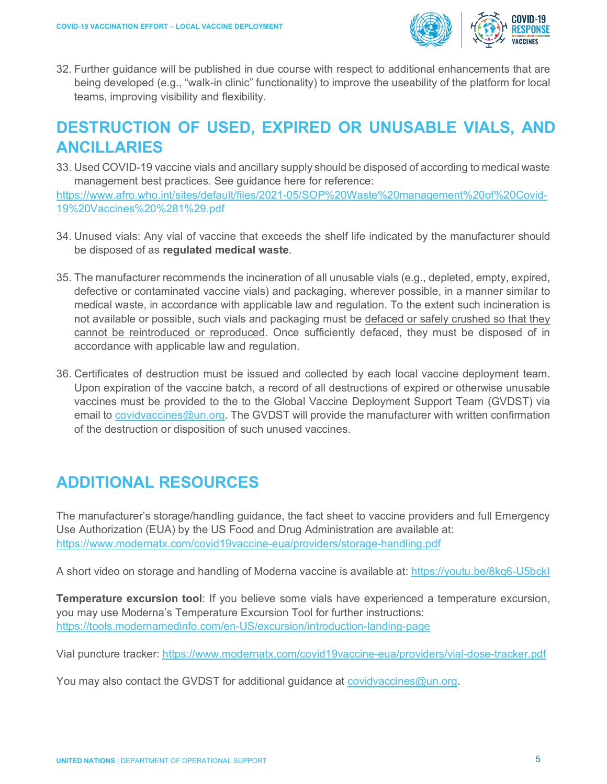

32. Further guidance will be published in due course with respect to additional enhancements that are being developed (e.g., "walk-in clinic" functionality) to improve the useability of the platform for local teams, improving visibility and flexibility.

## **DESTRUCTION OF USED, EXPIRED OR UNUSABLE VIALS, AND ANCILLARIES**

33. Used COVID-19 vaccine vials and ancillary supply should be disposed of according to medical waste management best practices. See guidance here for reference:

[https://www.afro.who.int/sites/default/files/2021-05/SOP%20Waste%20management%20of%20Covid-](https://www.afro.who.int/sites/default/files/2021-05/SOP%20Waste%20management%20of%20Covid-19%20Vaccines%20%281%29.pdf)[19%20Vaccines%20%281%29.pdf](https://www.afro.who.int/sites/default/files/2021-05/SOP%20Waste%20management%20of%20Covid-19%20Vaccines%20%281%29.pdf)

- 34. Unused vials: Any vial of vaccine that exceeds the shelf life indicated by the manufacturer should be disposed of as **regulated medical waste**.
- 35. The manufacturer recommends the incineration of all unusable vials (e.g., depleted, empty, expired, defective or contaminated vaccine vials) and packaging, wherever possible, in a manner similar to medical waste, in accordance with applicable law and regulation. To the extent such incineration is not available or possible, such vials and packaging must be defaced or safely crushed so that they cannot be reintroduced or reproduced. Once sufficiently defaced, they must be disposed of in accordance with applicable law and regulation.
- 36. Certificates of destruction must be issued and collected by each local vaccine deployment team. Upon expiration of the vaccine batch, a record of all destructions of expired or otherwise unusable vaccines must be provided to the to the Global Vaccine Deployment Support Team (GVDST) via email to [covidvaccines@un.org.](mailto:covidvaccines@un.org) The GVDST will provide the manufacturer with written confirmation of the destruction or disposition of such unused vaccines.

## **ADDITIONAL RESOURCES**

The manufacturer's storage/handling guidance, the fact sheet to vaccine providers and full Emergency Use Authorization (EUA) by the US Food and Drug Administration are available at: <https://www.modernatx.com/covid19vaccine-eua/providers/storage-handling.pdf>

A short video on storage and handling of Moderna vaccine is available at:<https://youtu.be/8kq6-U5bckI>

**Temperature excursion tool**: If you believe some vials have experienced a temperature excursion, you may use Moderna's Temperature Excursion Tool for further instructions: <https://tools.modernamedinfo.com/en-US/excursion/introduction-landing-page>

Vial puncture tracker:<https://www.modernatx.com/covid19vaccine-eua/providers/vial-dose-tracker.pdf>

You may also contact the GVDST for additional guidance at [covidvaccines@un.org.](mailto:covidvaccines@un.org)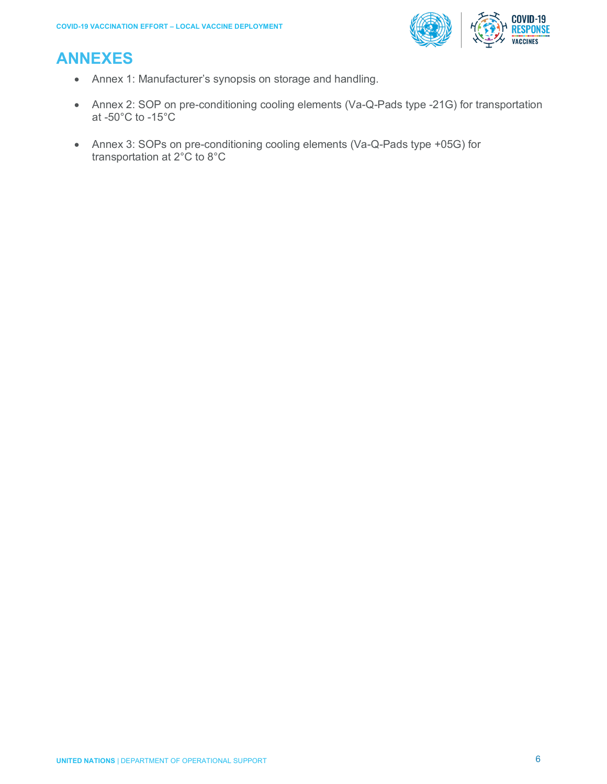# **COVID-19<br>RESPONSE**

## **ANNEXES**

- Annex 1: Manufacturer's synopsis on storage and handling.
- Annex 2: SOP on pre-conditioning cooling elements (Va-Q-Pads type -21G) for transportation at -50°C to -15°C
- Annex 3: SOPs on pre-conditioning cooling elements (Va-Q-Pads type +05G) for transportation at 2°C to 8°C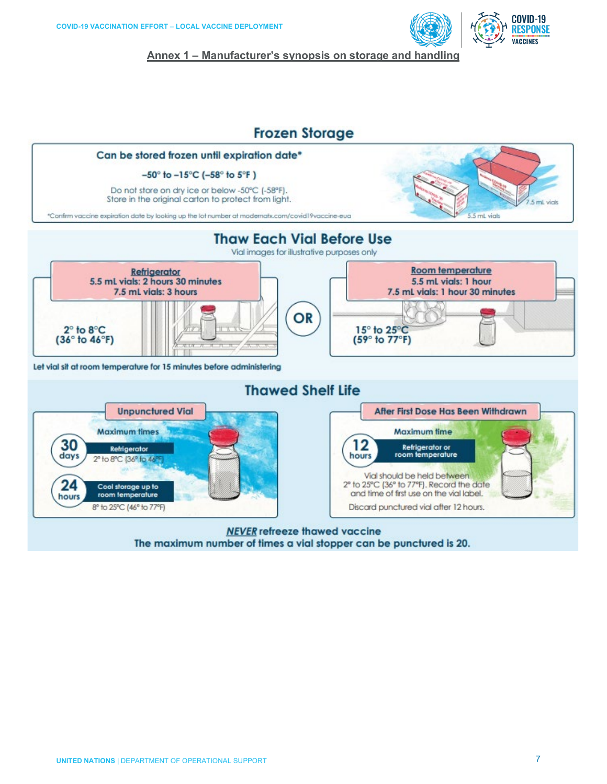

COVID-19

**Annex 1 – Manufacturer's synopsis on storage and handling**

#### **Frozen Storage**



The maximum number of times a vial stopper can be punctured is 20.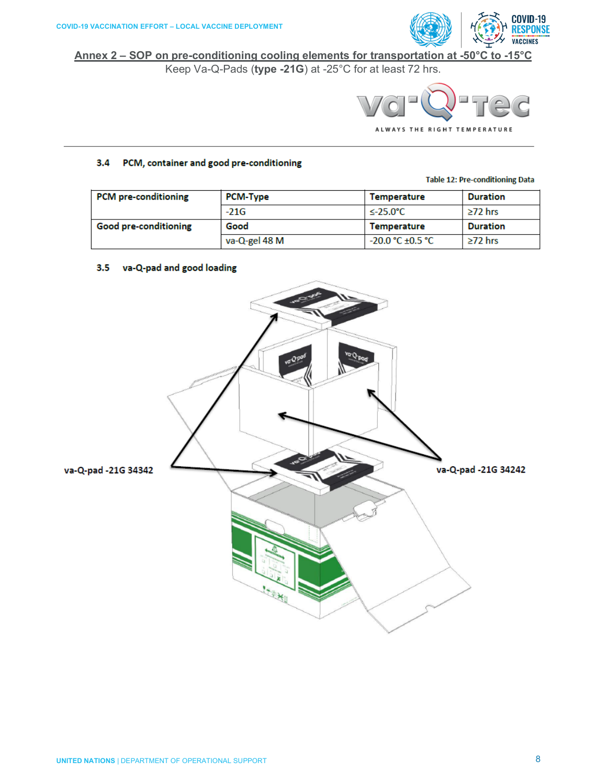

**Annex 2 – SOP on pre-conditioning cooling elements for transportation at -50°C to -15°C**

Keep Va-Q-Pads (**type -21G**) at -25°C for at least 72 hrs.



#### 3.4 PCM, container and good pre-conditioning

**Table 12: Pre-conditioning Data** 

| <b>PCM</b> pre-conditioning | <b>PCM-Type</b> | Temperature         | <b>Duration</b> |
|-----------------------------|-----------------|---------------------|-----------------|
|                             | $-21G$          | $\leq$ -25.0°C      | $>72$ hrs       |
| Good pre-conditioning       | Good            | Temperature         | Duration        |
|                             | va-Q-gel 48 M   | $-20.0 °C + 0.5 °C$ | $>72$ hrs       |

#### 3.5 va-Q-pad and good loading

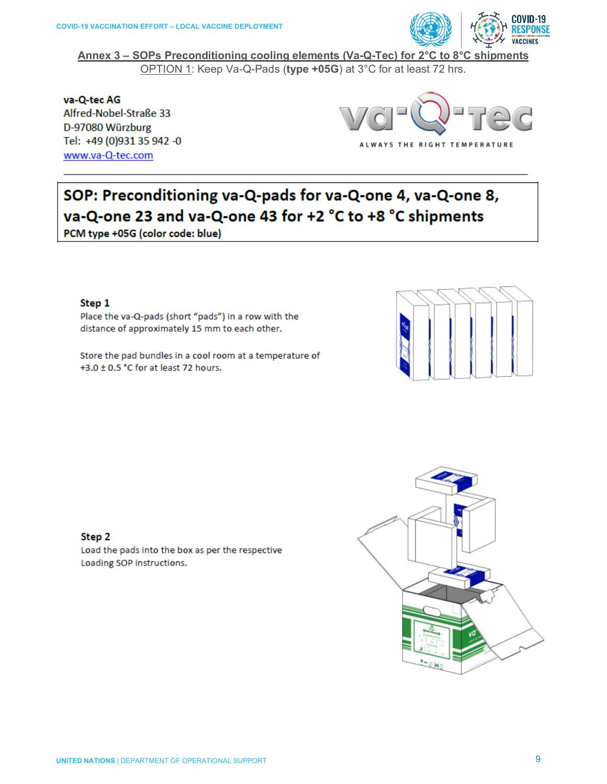

**Annex 3 – SOPs Preconditioning cooling elements (Va-Q-Tec) for 2°C to 8°C shipments** OPTION 1: Keep Va-Q-Pads (**type +05G**) at 3°C for at least 72 hrs.

va-Q-tec AG Alfred-Nobel-Straße 33 D-97080 Würzburg Tel: +49 (0)931 35 942 -0 www.va-Q-tec.com



## SOP: Preconditioning va-Q-pads for va-Q-one 4, va-Q-one 8, va-Q-one 23 and va-Q-one 43 for +2 °C to +8 °C shipments

PCM type +05G (color code: blue)

#### Step 1

Place the va-Q-pads (short "pads") in a row with the distance of approximately 15 mm to each other.

Store the pad bundles in a cool room at a temperature of +3.0 ± 0.5 °C for at least 72 hours.



#### Step 2

Load the pads into the box as per the respective Loading SOP instructions.